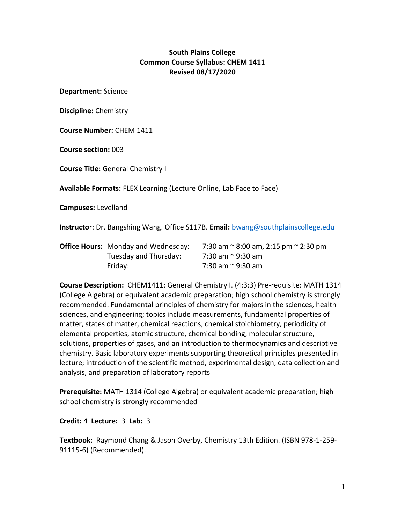### **South Plains College Common Course Syllabus: CHEM 1411 Revised 08/17/2020**

**Department:** Science

**Discipline:** Chemistry

**Course Number:** CHEM 1411

**Course section:** 003

**Course Title:** General Chemistry I

**Available Formats:** FLEX Learning (Lecture Online, Lab Face to Face)

**Campuses:** Levelland

**Instructo**r: Dr. Bangshing Wang. Office S117B. **Email:** [bwang@southplainscollege.edu](mailto:bwang@southplainscollege.edu)

| <b>Office Hours:</b> Monday and Wednesday: | 7:30 am $\approx$ 8:00 am, 2:15 pm $\approx$ 2:30 pm |  |
|--------------------------------------------|------------------------------------------------------|--|
| Tuesday and Thursday:                      | 7:30 am ~ 9:30 am                                    |  |
| Fridav:                                    | 7:30 am ~ 9:30 am                                    |  |

**Course Description:** CHEM1411: General Chemistry I. (4:3:3) Pre-requisite: MATH 1314 (College Algebra) or equivalent academic preparation; high school chemistry is strongly recommended. Fundamental principles of chemistry for majors in the sciences, health sciences, and engineering; topics include measurements, fundamental properties of matter, states of matter, chemical reactions, chemical stoichiometry, periodicity of elemental properties, atomic structure, chemical bonding, molecular structure, solutions, properties of gases, and an introduction to thermodynamics and descriptive chemistry. Basic laboratory experiments supporting theoretical principles presented in lecture; introduction of the scientific method, experimental design, data collection and analysis, and preparation of laboratory reports

**Prerequisite:** MATH 1314 (College Algebra) or equivalent academic preparation; high school chemistry is strongly recommended

**Credit:** 4 **Lecture:** 3 **Lab:** 3

**Textbook:** Raymond Chang & Jason Overby, Chemistry 13th Edition. (ISBN 978-1-259- 91115-6) (Recommended).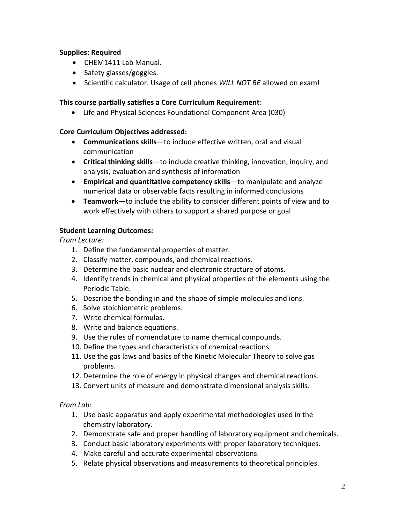#### **Supplies: Required**

- CHEM1411 Lab Manual.
- Safety glasses/goggles.
- Scientific calculator. Usage of cell phones *WILL NOT BE* allowed on exam!

#### **This course partially satisfies a Core Curriculum Requirement**:

Life and Physical Sciences Foundational Component Area (030)

#### **Core Curriculum Objectives addressed:**

- **Communications skills**—to include effective written, oral and visual communication
- **Critical thinking skills**—to include creative thinking, innovation, inquiry, and analysis, evaluation and synthesis of information
- **Empirical and quantitative competency skills**—to manipulate and analyze numerical data or observable facts resulting in informed conclusions
- **Teamwork**—to include the ability to consider different points of view and to work effectively with others to support a shared purpose or goal

#### **Student Learning Outcomes:**

*From Lecture:* 

- 1. Define the fundamental properties of matter.
- 2. Classify matter, compounds, and chemical reactions.
- 3. Determine the basic nuclear and electronic structure of atoms.
- 4. Identify trends in chemical and physical properties of the elements using the Periodic Table.
- 5. Describe the bonding in and the shape of simple molecules and ions.
- 6. Solve stoichiometric problems.
- 7. Write chemical formulas.
- 8. Write and balance equations.
- 9. Use the rules of nomenclature to name chemical compounds.
- 10. Define the types and characteristics of chemical reactions.
- 11. Use the gas laws and basics of the Kinetic Molecular Theory to solve gas problems.
- 12. Determine the role of energy in physical changes and chemical reactions.
- 13. Convert units of measure and demonstrate dimensional analysis skills.

*From Lab:* 

- 1. Use basic apparatus and apply experimental methodologies used in the chemistry laboratory.
- 2. Demonstrate safe and proper handling of laboratory equipment and chemicals.
- 3. Conduct basic laboratory experiments with proper laboratory techniques.
- 4. Make careful and accurate experimental observations.
- 5. Relate physical observations and measurements to theoretical principles.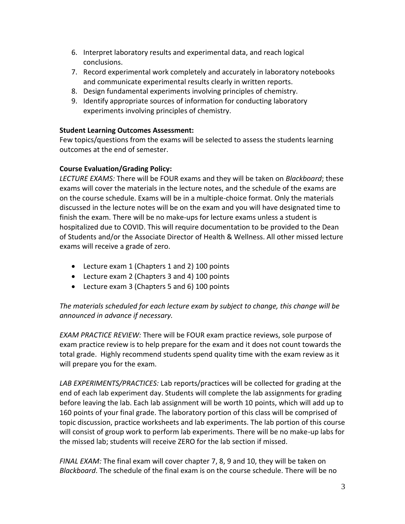- 6. Interpret laboratory results and experimental data, and reach logical conclusions.
- 7. Record experimental work completely and accurately in laboratory notebooks and communicate experimental results clearly in written reports.
- 8. Design fundamental experiments involving principles of chemistry.
- 9. Identify appropriate sources of information for conducting laboratory experiments involving principles of chemistry.

### **Student Learning Outcomes Assessment:**

Few topics/questions from the exams will be selected to assess the students learning outcomes at the end of semester.

# **Course Evaluation/Grading Policy:**

*LECTURE EXAMS:* There will be FOUR exams and they will be taken on *Blackboard*; these exams will cover the materials in the lecture notes, and the schedule of the exams are on the course schedule. Exams will be in a multiple-choice format. Only the materials discussed in the lecture notes will be on the exam and you will have designated time to finish the exam. There will be no make-ups for lecture exams unless a student is hospitalized due to COVID. This will require documentation to be provided to the Dean of Students and/or the Associate Director of Health & Wellness. All other missed lecture exams will receive a grade of zero.

- Lecture exam 1 (Chapters 1 and 2) 100 points
- Lecture exam 2 (Chapters 3 and 4) 100 points
- Lecture exam 3 (Chapters 5 and 6) 100 points

# *The materials scheduled for each lecture exam by subject to change, this change will be announced in advance if necessary.*

*EXAM PRACTICE REVIEW:* There will be FOUR exam practice reviews, sole purpose of exam practice review is to help prepare for the exam and it does not count towards the total grade. Highly recommend students spend quality time with the exam review as it will prepare you for the exam.

*LAB EXPERIMENTS/PRACTICES:* Lab reports/practices will be collected for grading at the end of each lab experiment day. Students will complete the lab assignments for grading before leaving the lab. Each lab assignment will be worth 10 points, which will add up to 160 points of your final grade. The laboratory portion of this class will be comprised of topic discussion, practice worksheets and lab experiments. The lab portion of this course will consist of group work to perform lab experiments. There will be no make-up labs for the missed lab; students will receive ZERO for the lab section if missed.

*FINAL EXAM:* The final exam will cover chapter 7, 8, 9 and 10, they will be taken on *Blackboard*. The schedule of the final exam is on the course schedule. There will be no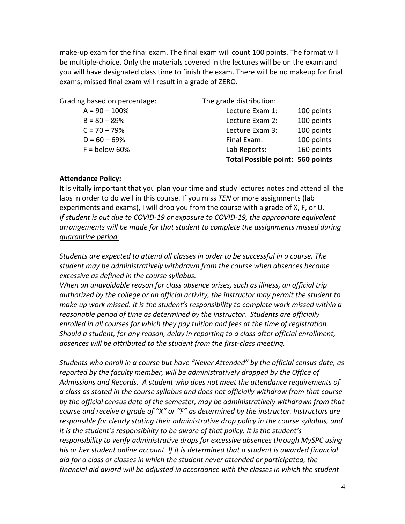make-up exam for the final exam. The final exam will count 100 points. The format will be multiple-choice. Only the materials covered in the lectures will be on the exam and you will have designated class time to finish the exam. There will be no makeup for final exams; missed final exam will result in a grade of ZERO.

Grading based on percentage: The grade distribution:

|                  | <b>Total Possible point: 560 points</b> |            |
|------------------|-----------------------------------------|------------|
| $F =$ below 60%  | Lab Reports:                            | 160 points |
| $D = 60 - 69%$   | Final Exam:                             | 100 points |
| $C = 70 - 79%$   | Lecture Exam 3:                         | 100 points |
| $B = 80 - 89%$   | Lecture Exam 2:                         | 100 points |
| $A = 90 - 100\%$ | Lecture Exam 1:                         | 100 points |

#### **Attendance Policy:**

It is vitally important that you plan your time and study lectures notes and attend all the labs in order to do well in this course. If you miss *TEN* or more assignments (lab experiments and exams), I will drop you from the course with a grade of X, F, or U. *If student is out due to COVID-19 or exposure to COVID-19, the appropriate equivalent arrangements will be made for that student to complete the assignments missed during quarantine period.*

*Students are expected to attend all classes in order to be successful in a course. The student may be administratively withdrawn from the course when absences become excessive as defined in the course syllabus.*

*When an unavoidable reason for class absence arises, such as illness, an official trip authorized by the college or an official activity, the instructor may permit the student to make up work missed. It is the student's responsibility to complete work missed within a reasonable period of time as determined by the instructor. Students are officially enrolled in all courses for which they pay tuition and fees at the time of registration. Should a student, for any reason, delay in reporting to a class after official enrollment, absences will be attributed to the student from the first-class meeting.*

*Students who enroll in a course but have "Never Attended" by the official census date, as reported by the faculty member, will be administratively dropped by the Office of Admissions and Records. A student who does not meet the attendance requirements of a class as stated in the course syllabus and does not officially withdraw from that course by the official census date of the semester, may be administratively withdrawn from that course and receive a grade of "X" or "F" as determined by the instructor. Instructors are responsible for clearly stating their administrative drop policy in the course syllabus, and it is the student's responsibility to be aware of that policy. It is the student's responsibility to verify administrative drops for excessive absences through MySPC using his or her student online account. If it is determined that a student is awarded financial aid for a class or classes in which the student never attended or participated, the financial aid award will be adjusted in accordance with the classes in which the student*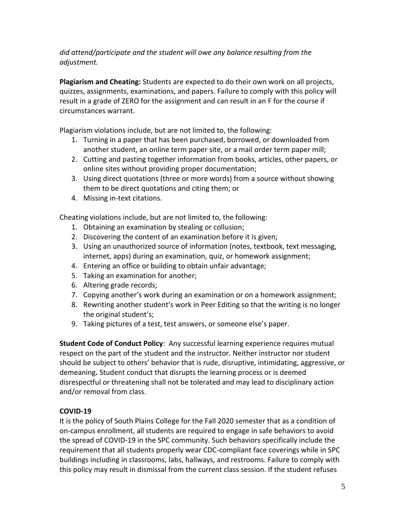# *did attend/participate and the student will owe any balance resulting from the adjustment.*

**Plagiarism and Cheating:** Students are expected to do their own work on all projects, quizzes, assignments, examinations, and papers. Failure to comply with this policy will result in a grade of ZERO for the assignment and can result in an F for the course if circumstances warrant.

Plagiarism violations include, but are not limited to, the following:

- 1. Turning in a paper that has been purchased, borrowed, or downloaded from another student, an online term paper site, or a mail order term paper mill;
- 2. Cutting and pasting together information from books, articles, other papers, or online sites without providing proper documentation;
- 3. Using direct quotations (three or more words) from a source without showing them to be direct quotations and citing them; or
- 4. Missing in-text citations.

Cheating violations include, but are not limited to, the following:

- 1. Obtaining an examination by stealing or collusion;
- 2. Discovering the content of an examination before it is given;
- 3. Using an unauthorized source of information (notes, textbook, text messaging, internet, apps) during an examination, quiz, or homework assignment;
- 4. Entering an office or building to obtain unfair advantage;
- 5. Taking an examination for another;
- 6. Altering grade records;
- 7. Copying another's work during an examination or on a homework assignment;
- 8. Rewriting another student's work in Peer Editing so that the writing is no longer the original student's;
- 9. Taking pictures of a test, test answers, or someone else's paper.

**Student Code of Conduct Policy**: Any successful learning experience requires mutual respect on the part of the student and the instructor. Neither instructor nor student should be subject to others' behavior that is rude, disruptive, intimidating, aggressive, or demeaning**.** Student conduct that disrupts the learning process or is deemed disrespectful or threatening shall not be tolerated and may lead to disciplinary action and/or removal from class.

# **COVID-19**

It is the policy of South Plains College for the Fall 2020 semester that as a condition of on-campus enrollment, all students are required to engage in safe behaviors to avoid the spread of COVID-19 in the SPC community. Such behaviors specifically include the requirement that all students properly wear CDC-compliant face coverings while in SPC buildings including in classrooms, labs, hallways, and restrooms. Failure to comply with this policy may result in dismissal from the current class session. If the student refuses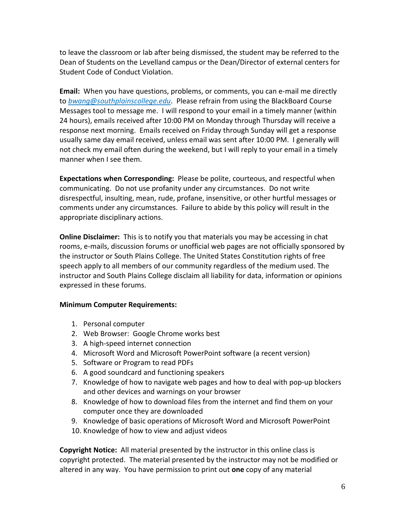to leave the classroom or lab after being dismissed, the student may be referred to the Dean of Students on the Levelland campus or the Dean/Director of external centers for Student Code of Conduct Violation.

**Email:** When you have questions, problems, or comments, you can e-mail me directly to *bwang@southplainscollege.edu*. Please refrain from using the BlackBoard Course Messages tool to message me. I will respond to your email in a timely manner (within 24 hours), emails received after 10:00 PM on Monday through Thursday will receive a response next morning. Emails received on Friday through Sunday will get a response usually same day email received, unless email was sent after 10:00 PM. I generally will not check my email often during the weekend, but I will reply to your email in a timely manner when I see them.

**Expectations when Corresponding:** Please be polite, courteous, and respectful when communicating. Do not use profanity under any circumstances. Do not write disrespectful, insulting, mean, rude, profane, insensitive, or other hurtful messages or comments under any circumstances. Failure to abide by this policy will result in the appropriate disciplinary actions.

**Online Disclaimer:** This is to notify you that materials you may be accessing in chat rooms, e-mails, discussion forums or unofficial web pages are not officially sponsored by the instructor or South Plains College. The United States Constitution rights of free speech apply to all members of our community regardless of the medium used. The instructor and South Plains College disclaim all liability for data, information or opinions expressed in these forums.

#### **Minimum Computer Requirements:**

- 1. Personal computer
- 2. Web Browser: Google Chrome works best
- 3. A high-speed internet connection
- 4. Microsoft Word and Microsoft PowerPoint software (a recent version)
- 5. Software or Program to read PDFs
- 6. A good soundcard and functioning speakers
- 7. Knowledge of how to navigate web pages and how to deal with pop-up blockers and other devices and warnings on your browser
- 8. Knowledge of how to download files from the internet and find them on your computer once they are downloaded
- 9. Knowledge of basic operations of Microsoft Word and Microsoft PowerPoint
- 10. Knowledge of how to view and adjust videos

**Copyright Notice:** All material presented by the instructor in this online class is copyright protected. The material presented by the instructor may not be modified or altered in any way. You have permission to print out **one** copy of any material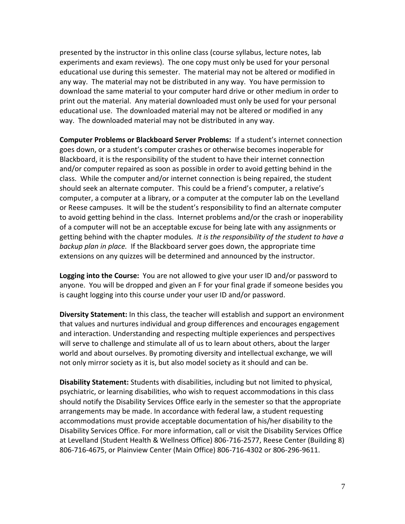presented by the instructor in this online class (course syllabus, lecture notes, lab experiments and exam reviews). The one copy must only be used for your personal educational use during this semester. The material may not be altered or modified in any way. The material may not be distributed in any way. You have permission to download the same material to your computer hard drive or other medium in order to print out the material. Any material downloaded must only be used for your personal educational use. The downloaded material may not be altered or modified in any way. The downloaded material may not be distributed in any way.

**Computer Problems or Blackboard Server Problems:** If a student's internet connection goes down, or a student's computer crashes or otherwise becomes inoperable for Blackboard, it is the responsibility of the student to have their internet connection and/or computer repaired as soon as possible in order to avoid getting behind in the class. While the computer and/or internet connection is being repaired, the student should seek an alternate computer. This could be a friend's computer, a relative's computer, a computer at a library, or a computer at the computer lab on the Levelland or Reese campuses. It will be the student's responsibility to find an alternate computer to avoid getting behind in the class. Internet problems and/or the crash or inoperability of a computer will not be an acceptable excuse for being late with any assignments or getting behind with the chapter modules*. It is the responsibility of the student to have a backup plan in place.* If the Blackboard server goes down, the appropriate time extensions on any quizzes will be determined and announced by the instructor.

**Logging into the Course:** You are not allowed to give your user ID and/or password to anyone. You will be dropped and given an F for your final grade if someone besides you is caught logging into this course under your user ID and/or password.

**Diversity Statement:** In this class, the teacher will establish and support an environment that values and nurtures individual and group differences and encourages engagement and interaction. Understanding and respecting multiple experiences and perspectives will serve to challenge and stimulate all of us to learn about others, about the larger world and about ourselves. By promoting diversity and intellectual exchange, we will not only mirror society as it is, but also model society as it should and can be.

**Disability Statement:** Students with disabilities, including but not limited to physical, psychiatric, or learning disabilities, who wish to request accommodations in this class should notify the Disability Services Office early in the semester so that the appropriate arrangements may be made. In accordance with federal law, a student requesting accommodations must provide acceptable documentation of his/her disability to the Disability Services Office. For more information, call or visit the Disability Services Office at Levelland (Student Health & Wellness Office) 806-716-2577, Reese Center (Building 8) 806-716-4675, or Plainview Center (Main Office) 806-716-4302 or 806-296-9611.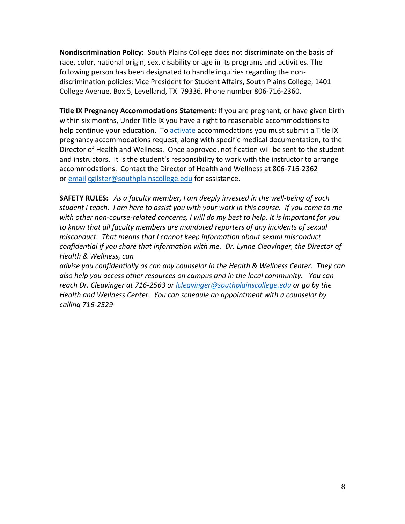**Nondiscrimination Policy:** South Plains College does not discriminate on the basis of race, color, national origin, sex, disability or age in its programs and activities. The following person has been designated to handle inquiries regarding the nondiscrimination policies: Vice President for Student Affairs, South Plains College, 1401 College Avenue, Box 5, Levelland, TX 79336. Phone number 806-716-2360.

**Title IX Pregnancy Accommodations Statement:** If you are pregnant, or have given birth within six months, Under Title IX you have a right to reasonable accommodations to help continue your education. To [activate](http://www.southplainscollege.edu/employees/manualshandbooks/facultyhandbook/sec4.php) accommodations you must submit a Title IX pregnancy accommodations request, along with specific medical documentation, to the Director of Health and Wellness. Once approved, notification will be sent to the student and instructors. It is the student's responsibility to work with the instructor to arrange accommodations. Contact the Director of Health and Wellness at 806-716-2362 or [email](http://www.southplainscollege.edu/employees/manualshandbooks/facultyhandbook/sec4.php) [cgilster@southplainscollege.edu](mailto:cgilster@southplainscollege.edu) for assistance.

**SAFETY RULES:** *As a faculty member, I am deeply invested in the well-being of each student I teach. I am here to assist you with your work in this course. If you come to me with other non-course-related concerns, I will do my best to help. It is important for you to know that all faculty members are mandated reporters of any incidents of sexual misconduct. That means that I cannot keep information about sexual misconduct confidential if you share that information with me. Dr. Lynne Cleavinger, the Director of Health & Wellness, can* 

*advise you confidentially as can any counselor in the Health & Wellness Center. They can also help you access other resources on campus and in the local community. You can reach Dr. Cleavinger at 716-2563 or [lcleavinger@southplainscollege.edu](mailto:lcleavinger@southplainscollege.edu) or go by the Health and Wellness Center. You can schedule an appointment with a counselor by calling 716-2529*